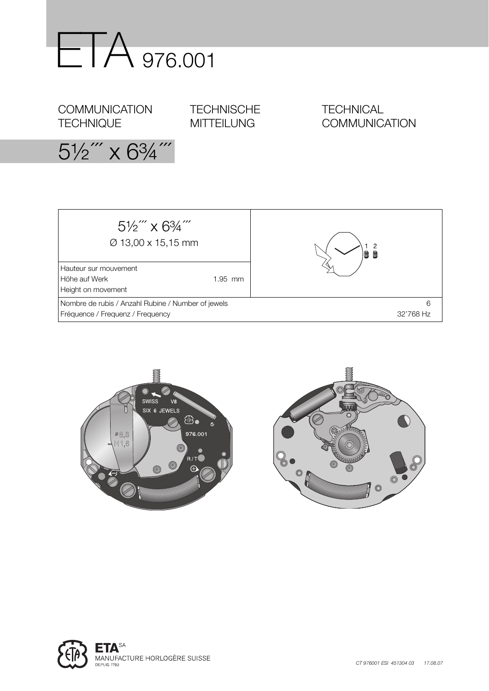

**COMMUNICATION TECHNIQUE** 

**TECHNISCHE** MITTEILUNG

**TECHNICAL COMMUNICATION** 

 $5\frac{1}{2}$ " x  $6\frac{3}{4}$ "







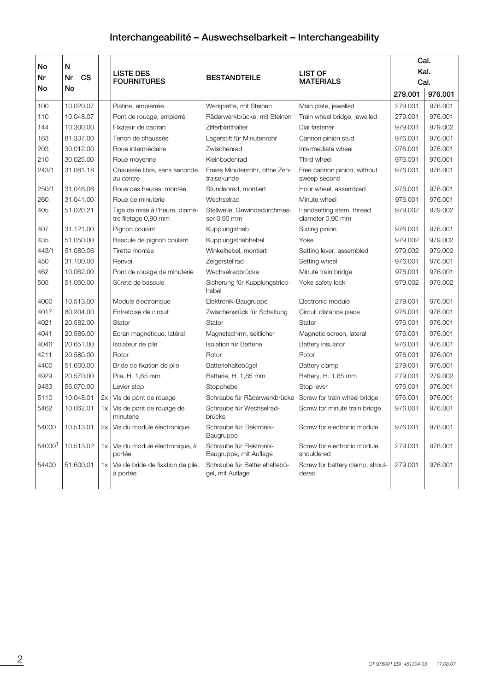# **Interchangeabilité – Auswechselbarkeit – Interchangeability**

|         |                 |    |                                                        |                                                    |                                              | Cal.    |         |  |
|---------|-----------------|----|--------------------------------------------------------|----------------------------------------------------|----------------------------------------------|---------|---------|--|
| No<br>N |                 |    | LISTE DES                                              |                                                    | <b>LIST OF</b>                               | Kal.    |         |  |
| Nr      | Nr<br><b>CS</b> |    | <b>FOURNITURES</b>                                     | <b>BESTANDTEILE</b>                                | <b>MATERIALS</b>                             | Cal.    |         |  |
| No      | No              |    |                                                        |                                                    |                                              | 279.001 | 976.001 |  |
| 100     | 10.020.07       |    | Platine, empierrée                                     | Werkplatte, mit Steinen                            | Main plate, jewelled                         | 279.001 | 976.001 |  |
| 110     | 10.048.07       |    | Pont de rouage, empierré                               | Räderwerkbrücke, mit Steinen                       | Train wheel bridge, jewelled                 | 279.001 | 976.001 |  |
| 144     | 10.300.00       |    | Fixateur de cadran                                     | Zifferblatthalter                                  | Dial fastener                                | 979.001 | 979.002 |  |
| 163     | 81.337.00       |    | Tenon de chaussée                                      | Lagerstift für Minutenrohr                         | Cannon pinion stud                           | 976.001 | 976.001 |  |
| 203     | 30.012.00       |    | Roue intermédiaire                                     | Zwischenrad                                        | Intermediate wheel                           | 976.001 | 976.001 |  |
| 210     | 30.025.00       |    | Roue moyenne                                           | Kleinbodenrad                                      | Third wheel                                  | 976.001 | 976.001 |  |
| 243/1   | 31.081.18       |    | Chaussée libre, sans seconde<br>au centre              | Freies Minutenrohr, ohne Zen-<br>tralsekunde       | Free cannon pinion, without<br>sweep second  | 976.001 | 976.001 |  |
| 250/1   | 31.046.06       |    | Roue des heures, montée                                | Stundenrad, montiert                               | Hour wheel, assembled                        | 976.001 | 976.001 |  |
| 260     | 31.041.00       |    | Roue de minuterie                                      | Wechselrad                                         | Minute wheel                                 | 976.001 | 976.001 |  |
| 405     | 51.020.21       |    | Tige de mise à l'heure, diamè-<br>tre filetage 0,90 mm | Stellwelle, Gewindedurchmes-<br>ser 0,90 mm        | Handsetting stem, thread<br>diameter 0.90 mm | 979.002 | 979.002 |  |
| 407     | 31.121.00       |    | Pignon coulant                                         | Kupplungstrieb                                     | Sliding pinion                               | 976.001 | 976.001 |  |
| 435     | 51.050.00       |    | Bascule de pignon coulant                              | Kupplungstriebhebel                                | Yoke                                         | 979.002 | 979.002 |  |
| 443/1   | 51.080.06       |    | Tirette montée                                         | Winkelhebel, montiert                              | Setting lever, assembled                     | 979.002 | 979.002 |  |
| 450     | 31.100.00       |    | Renvoi                                                 | Zeigerstellrad                                     | Setting wheel                                | 976.001 | 976.001 |  |
| 462     | 10.062.00       |    | Pont de rouage de minuterie                            | Wechselradbrücke                                   | Minute train bridge                          | 976.001 | 976.001 |  |
| 505     | 51.060.00       |    | Sûreté de bascule                                      | Sicherung für Kupplungstrieb-<br>hebel             | Yoke safety lock                             | 979.002 | 979.002 |  |
| 4000    | 10.513.00       |    | Module électronique                                    | Elektronik-Baugruppe                               | Electronic module                            | 279.001 | 976.001 |  |
| 4017    | 80.204.00       |    | Entretoise de circuit                                  | Zwischenstück für Schaltung                        | Circuit distance piece                       | 976.001 | 976.001 |  |
| 4021    | 20.582.00       |    | Stator                                                 | Stator                                             | Stator                                       | 976.001 | 976.001 |  |
| 4041    | 20.586.00       |    | Ecran magnétique, latéral                              | Magnetschirm, seitlicher                           | Magnetic screen, lateral                     | 976.001 | 976.001 |  |
| 4046    | 20.651.00       |    | Isolateur de pile                                      | Isolation für Batterie                             | Battery insulator                            | 976.001 | 976.001 |  |
| 4211    | 20.580.00       |    | Rotor                                                  | Rotor                                              | Rotor                                        | 976.001 | 976.001 |  |
| 4400    | 51.600.00       |    | Bride de fixation de pile                              | Batteriehaltebügel                                 | Battery clamp                                | 279.001 | 976.001 |  |
| 4929    | 20.570.00       |    | Pile, H. 1,65 mm                                       | Batterie, H. 1,65 mm                               | Battery, H. 1.65 mm                          | 279.001 | 279.002 |  |
| 9433    | 56.070.00       |    | Levier stop                                            | Stopphebel                                         | Stop lever                                   | 976.001 | 976.001 |  |
| 5110    | 10.048.01       | 2x | Vis de pont de rouage                                  | Schraube für Räderwerkbrücke                       | Screw for train wheel bridge                 | 976.001 | 976.001 |  |
| 5462    | 10.062.01       | 1x | Vis de pont de rouage de<br>minuterie                  | Schraube für Wechselrad-<br>brücke                 | Screw for minute train bridge                | 976.001 | 976.001 |  |
| 54000   | 10.513.01       | 2x | Vis du module électronique                             | Schraube für Elektronik-<br>Baugruppe              | Screw for electronic module                  | 976.001 | 976.001 |  |
| 540001  | 10.513.02       | 1x | Vis du module électronique, à<br>portée                | Schraube für Elektronik-<br>Baugruppe, mit Auflage | Screw for electronic module,<br>shouldered   | 279.001 | 976.001 |  |
| 54400   | 51.600.01       | 1x | Vis de bride de fixation de pile.<br>à portée          | Schraube für Batteriehaltebü-<br>gel, mit Auflage  | Screw for battery clamp, shoul-<br>dered     | 279.001 | 976.001 |  |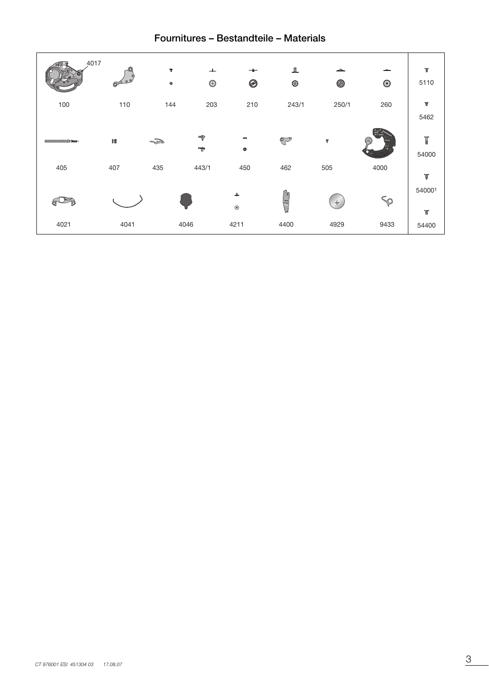# **Fournitures – Bestandteile – Materials**

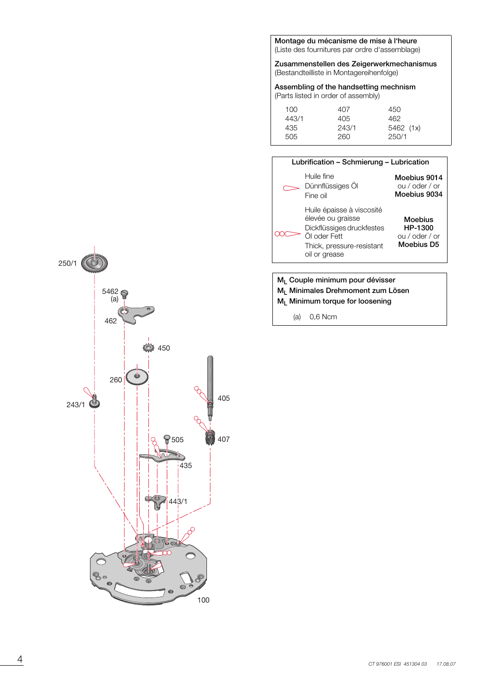**Montage du mécanisme de mise à l'heure** (Liste des fournitures par ordre d'assemblage)

**Zusammenstellen des Zeigerwerkmechanismus** (Bestandteilliste in Montagereihenfolge)

**Assembling of the handsetting mechnism** (Parts listed in order of assembly)

| 100   | 407   | 450       |  |
|-------|-------|-----------|--|
| 443/1 | 405   | 462.      |  |
| 435   | 243/1 | 5462 (1x) |  |
| 505   | 260   | 250/1     |  |



- **ML Couple minimum pour dévisser**
- **ML Minimales Drehmoment zum Lösen**

**ML Minimum torque for loosening**

(a) 0,6 Ncm

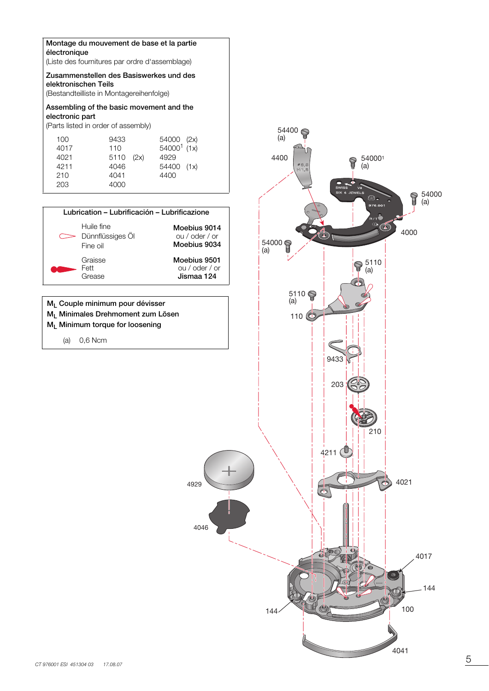### **Montage du mouvement de base et la partie électronique**

(Liste des fournitures par ordre d'assemblage)

## **Zusammenstellen des Basiswerkes und des elektronischen Teils**

(Bestandteilliste in Montagereihenfolge)

# **Assembling of the basic movement and the electronic part**

(Parts listed in order of assembly)



4929

**M<sub>L</sub>** Couple minimum pour dévisser **ML Minimales Drehmoment zum Lösen ML Minimum torque for loosening**

(a) 0,6 Ncm

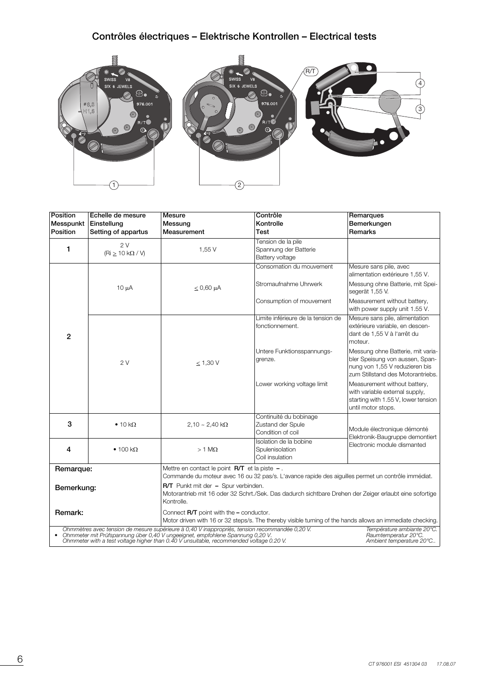# **Contrôles électriques – Elektrische Kontrollen – Electrical tests**



| Position       | Echelle de mesure              | Mesure                                                                                                                                                                                                                                                                       | Contrôle                                                                                           | Remarques                                                                                                                                   |  |  |  |
|----------------|--------------------------------|------------------------------------------------------------------------------------------------------------------------------------------------------------------------------------------------------------------------------------------------------------------------------|----------------------------------------------------------------------------------------------------|---------------------------------------------------------------------------------------------------------------------------------------------|--|--|--|
| Messpunkt      | Einstellung                    | Messung                                                                                                                                                                                                                                                                      | Kontrolle                                                                                          | Bemerkungen                                                                                                                                 |  |  |  |
| Position       | Setting of appartus            | Measurement                                                                                                                                                                                                                                                                  | Test                                                                                               | Remarks                                                                                                                                     |  |  |  |
| 1              | 2V<br>(Ri > 10 k $\Omega$ / V) | 1,55 V                                                                                                                                                                                                                                                                       | Tension de la pile<br>Spannung der Batterie<br>Battery voltage                                     |                                                                                                                                             |  |  |  |
|                |                                |                                                                                                                                                                                                                                                                              | Consomation du mouvement                                                                           | Mesure sans pile, avec<br>alimentation extérieure 1,55 V.                                                                                   |  |  |  |
|                | $10 \mu A$                     | $\leq 0,60$ µA                                                                                                                                                                                                                                                               | Stromaufnahme Uhrwerk                                                                              | Messung ohne Batterie, mit Spei-<br>segerät 1,55 V.                                                                                         |  |  |  |
| $\overline{2}$ |                                |                                                                                                                                                                                                                                                                              | Consumption of mouvement                                                                           | Measurement without battery,<br>with power supply unit 1.55 V.                                                                              |  |  |  |
|                |                                |                                                                                                                                                                                                                                                                              | Limite inférieure de la tension de<br>fonctionnement.                                              | Mesure sans pile, alimentation<br>extérieure variable, en descen-<br>dant de 1,55 V à l'arrêt du<br>moteur.                                 |  |  |  |
|                | 2V                             | < 1,30 V                                                                                                                                                                                                                                                                     | Untere Funktionsspannungs-<br>grenze.                                                              | Messung ohne Batterie, mit varia-<br>bler Speisung von aussen, Span-<br>nung von 1,55 V reduzieren bis<br>zum Stillstand des Motorantriebs. |  |  |  |
|                |                                |                                                                                                                                                                                                                                                                              | Lower working voltage limit                                                                        | Measurement without battery,<br>with variable external supply,<br>starting with 1.55 V, lower tension<br>until motor stops.                 |  |  |  |
| 3              | $\bullet$ 10 kΩ                | $2,10 - 2,40 k\Omega$                                                                                                                                                                                                                                                        | Continuité du bobinage<br>Zustand der Spule<br>Condition of coil                                   | Module électronique démonté<br>Elektronik-Baugruppe demontiert                                                                              |  |  |  |
| 4              | $\bullet$ 100 kΩ               | $>1$ M $\Omega$                                                                                                                                                                                                                                                              | Isolation de la bobine<br>Spulenisolation<br>Coil insulation                                       | Electronic module dismanted                                                                                                                 |  |  |  |
| Remarque:      |                                | Mettre en contact le point $\mathsf{R}/\mathsf{T}$ et la piste $-$ .                                                                                                                                                                                                         | Commande du moteur avec 16 ou 32 pas/s. L'avance rapide des aiguilles permet un contrôle immédiat. |                                                                                                                                             |  |  |  |
| Bemerkung:     |                                | R/T Punkt mit der - Spur verbinden.<br>Motorantrieb mit 16 oder 32 Schrt./Sek. Das dadurch sichtbare Drehen der Zeiger erlaubt eine sofortige<br>Kontrolle.                                                                                                                  |                                                                                                    |                                                                                                                                             |  |  |  |
| Remark:        |                                | Connect $\mathsf{R}/\mathsf{T}$ point with the $-$ conductor.<br>Motor driven with 16 or 32 steps/s. The thereby visible turning of the hands allows an immediate checking.                                                                                                  |                                                                                                    |                                                                                                                                             |  |  |  |
|                |                                | Ohmmètres avec tension de mesure supérieure à 0,40 V inappropriés, tension recommandée 0,20 V.<br>• Ohmmeter mit Prüfspannung über 0,40 V ungeeignet, empfohlene Spannung 0,20 V.<br>Ohmmeter with a test voltage higher than 0.40 V unsuitable, recommended voltage 0.20 V. |                                                                                                    | Température ambiante 20°C.<br>Raumtemperatur 20°C.<br>Ambient temperature 20°C                                                              |  |  |  |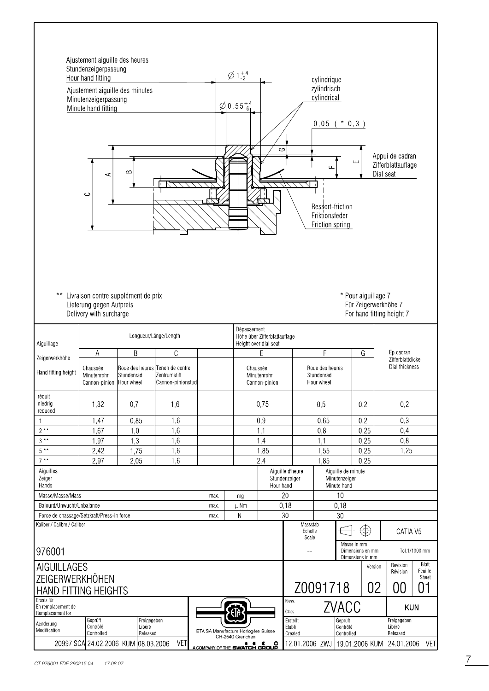| Ajustement aiguille des heures<br>Stundenzeigerpassung<br>$\emptyset$ 1 $^{+4}_{-2}$<br>Hour hand fitting<br>cylindrique<br>zylindrisch<br>Ajustement aiguille des minutes<br>cylindrical<br>Minutenzeigerpassung<br>$\varnothing$ <sub>,</sub> 0,55 $^{+4}_{-6}$<br>Minute hand fitting<br>0,05<br>$* 0, 3)$<br>G<br>Appui de cadran<br>Щ<br>Zifferblattauflage<br>Щ<br>$\infty$<br>Dial seat<br>⋖<br>C<br>Ressort-friction<br>Friktionsfeder<br>Friction spring |                                                                                                                                                                        |                                                             |                                   |      |                                                                      |                                                                      |                                   |                 |                                                     |                  |                                   |               |
|-------------------------------------------------------------------------------------------------------------------------------------------------------------------------------------------------------------------------------------------------------------------------------------------------------------------------------------------------------------------------------------------------------------------------------------------------------------------|------------------------------------------------------------------------------------------------------------------------------------------------------------------------|-------------------------------------------------------------|-----------------------------------|------|----------------------------------------------------------------------|----------------------------------------------------------------------|-----------------------------------|-----------------|-----------------------------------------------------|------------------|-----------------------------------|---------------|
| $\star\star$                                                                                                                                                                                                                                                                                                                                                                                                                                                      | Livraison contre supplément de prix<br>* Pour aiguillage 7<br>Lieferung gegen Aufpreis<br>Für Zeigerwerkhöhe 7<br>Delivery with surcharge<br>For hand fitting height 7 |                                                             |                                   |      |                                                                      |                                                                      |                                   |                 |                                                     |                  |                                   |               |
| Aiguillage                                                                                                                                                                                                                                                                                                                                                                                                                                                        |                                                                                                                                                                        | Longueur/Länge/Length                                       |                                   |      | Dépassement<br>Höhe über Zifferblattauflage<br>Height over dial seat |                                                                      |                                   |                 |                                                     |                  |                                   |               |
| Zeigerwerkhöhe                                                                                                                                                                                                                                                                                                                                                                                                                                                    | Α                                                                                                                                                                      | B                                                           | C                                 |      |                                                                      | E                                                                    | F<br>G                            |                 | Ep.cadran                                           | Zifferblattdicke |                                   |               |
| Hand fitting height                                                                                                                                                                                                                                                                                                                                                                                                                                               | Chaussée<br>Minutenrohr<br>Cannon-pinion                                                                                                                               | Roue des heures Tenon de centre<br>Stundenrad<br>Hour wheel | Zentrumstift<br>Cannon-pinionstud |      |                                                                      | Chaussée<br>Stundenrad<br>Minutenrohr<br>Hour wheel<br>Cannon-pinion |                                   | Roue des heures |                                                     |                  | Dial thickness                    |               |
| réduit<br>niedrig<br>reduced                                                                                                                                                                                                                                                                                                                                                                                                                                      | 1,32                                                                                                                                                                   | 0,7                                                         | 1,6                               |      |                                                                      | 0,75                                                                 |                                   | 0,5             |                                                     | 0,2              | 0,2                               |               |
| 1                                                                                                                                                                                                                                                                                                                                                                                                                                                                 | 1,47                                                                                                                                                                   | 0,85                                                        | 1,6                               |      |                                                                      | 0,9                                                                  |                                   | 0,65            |                                                     | 0,2              | 0,3                               |               |
| $2**$                                                                                                                                                                                                                                                                                                                                                                                                                                                             | 1,67                                                                                                                                                                   | 1,0                                                         | 1,6                               |      |                                                                      | 1,1                                                                  |                                   | 0,8             |                                                     | 0,25             | 0,4                               |               |
| $3***$                                                                                                                                                                                                                                                                                                                                                                                                                                                            | 1,97                                                                                                                                                                   | 1,3                                                         | 1,6                               |      |                                                                      | 1,4                                                                  |                                   | 1,1             |                                                     | 0,25             | 0,8                               |               |
| $5***$                                                                                                                                                                                                                                                                                                                                                                                                                                                            | 2,42                                                                                                                                                                   | 1,75                                                        | 1,6                               |      |                                                                      | 1,85                                                                 |                                   | 1,55            |                                                     | 0,25             | 1,25                              |               |
| $7**$                                                                                                                                                                                                                                                                                                                                                                                                                                                             | 2,97                                                                                                                                                                   | 2,05                                                        | 1,6                               |      |                                                                      | 2,4                                                                  |                                   | 1,85            |                                                     | 0,25             |                                   |               |
| Aiguilles<br>Zeiger                                                                                                                                                                                                                                                                                                                                                                                                                                               |                                                                                                                                                                        |                                                             |                                   |      |                                                                      |                                                                      | Aiguille d'heure<br>Stundenzeiger |                 | Aiguille de minute<br>Minutenzeiger                 |                  |                                   |               |
| Hands                                                                                                                                                                                                                                                                                                                                                                                                                                                             |                                                                                                                                                                        |                                                             |                                   |      |                                                                      | Hour hand                                                            |                                   |                 | Minute hand                                         |                  |                                   |               |
| Masse/Masse/Mass                                                                                                                                                                                                                                                                                                                                                                                                                                                  |                                                                                                                                                                        |                                                             |                                   | max. | mg                                                                   |                                                                      | 20                                |                 | 10                                                  |                  |                                   |               |
| Balourd/Unwucht/Unbalance                                                                                                                                                                                                                                                                                                                                                                                                                                         |                                                                                                                                                                        |                                                             |                                   | max. | μNm                                                                  |                                                                      | 0,18                              |                 | 0,18                                                |                  |                                   |               |
| Force de chassage/Setzkraft/Press-in force                                                                                                                                                                                                                                                                                                                                                                                                                        |                                                                                                                                                                        |                                                             |                                   | max. | $\sf N$                                                              |                                                                      | 30                                |                 | 30                                                  |                  |                                   |               |
| Kaliber / Calibre / Caliber                                                                                                                                                                                                                                                                                                                                                                                                                                       |                                                                                                                                                                        |                                                             |                                   |      |                                                                      |                                                                      | Massstab<br>Echelle<br>Scale      |                 |                                                     | $\circledast$    | CATIA V5                          |               |
| 976001                                                                                                                                                                                                                                                                                                                                                                                                                                                            |                                                                                                                                                                        |                                                             |                                   |      |                                                                      |                                                                      | $-$                               |                 | Masse in mm<br>Dimensions en mm<br>Dimensions in mm |                  |                                   | Tol.1/1000 mm |
| Blatt<br>AIGUILLAGES<br>Revision<br>Version                                                                                                                                                                                                                                                                                                                                                                                                                       |                                                                                                                                                                        |                                                             |                                   |      |                                                                      |                                                                      |                                   |                 |                                                     |                  |                                   |               |
| Feuille<br>Révision<br>ZEIGERWERKHÖHEN<br>Sheet                                                                                                                                                                                                                                                                                                                                                                                                                   |                                                                                                                                                                        |                                                             |                                   |      |                                                                      |                                                                      |                                   |                 |                                                     |                  |                                   |               |
| Z0091718<br>02<br>01<br>00<br>HAND FITTING HEIGHTS                                                                                                                                                                                                                                                                                                                                                                                                                |                                                                                                                                                                        |                                                             |                                   |      |                                                                      |                                                                      |                                   |                 |                                                     |                  |                                   |               |
| Ersatz für<br>En remplacement de<br>Remplacement for                                                                                                                                                                                                                                                                                                                                                                                                              |                                                                                                                                                                        |                                                             |                                   |      |                                                                      |                                                                      | Klass.<br>Class.                  |                 | ZVACC                                               |                  | <b>KUN</b>                        |               |
| Aenderung<br>Modification                                                                                                                                                                                                                                                                                                                                                                                                                                         | Geprüft<br>Contrôlé<br>Controlled                                                                                                                                      | Freigegeben<br>Libéré<br>Released                           |                                   |      | ETA SA Manufacture Horlogère Suisse                                  |                                                                      | Erstellt<br>Etabli<br>Created     |                 | Geprüft<br>Contrôlé<br>Controlled                   |                  | Freigegeben<br>Libéré<br>Released |               |
|                                                                                                                                                                                                                                                                                                                                                                                                                                                                   |                                                                                                                                                                        | 20997 SCA 24.02.2006 KUM 08.03.2006                         | <b>VET</b>                        |      | CH-2540 Grenchen<br>.<br>COMPANY OF THE SWATCH                       | ۰                                                                    | 12.01.2006 ZWJ                    |                 | 19.01.2006 KUM                                      |                  | 24.01.2006                        | <b>VET</b>    |

I